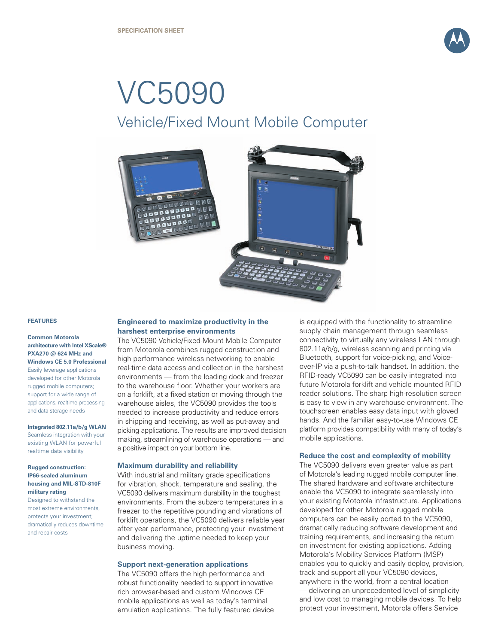

# VC5090 Vehicle/Fixed Mount Mobile Computer



# **FEATURES**

## **Common Motorola architecture with Intel XScale® PXA270 @ 624 MHz and Windows CE 5.0 Professional** Easily leverage applications developed for other Motorola rugged mobile computers; support for a wide range of applications, realtime processing and data storage needs

**Integrated 802.11a/b/g WLAN** Seamless integration with your existing WLAN for powerful realtime data visibility

#### **Rugged construction: IP66-sealed aluminum housing and MIL-STD-810F military rating**

Designed to withstand the most extreme environments, protects your investment; dramatically reduces downtime and repair costs

# **Engineered to maximize productivity in the harshest enterprise environments**

The VC5090 Vehicle/Fixed-Mount Mobile Computer from Motorola combines rugged construction and high performance wireless networking to enable real-time data access and collection in the harshest environments — from the loading dock and freezer to the warehouse floor. Whether your workers are on a forklift, at a fixed station or moving through the warehouse aisles, the VC5090 provides the tools needed to increase productivity and reduce errors in shipping and receiving, as well as put-away and picking applications. The results are improved decision making, streamlining of warehouse operations — and a positive impact on your bottom line.

## **Maximum durability and reliability**

With industrial and military grade specifications for vibration, shock, temperature and sealing, the VC5090 delivers maximum durability in the toughest environments. From the subzero temperatures in a freezer to the repetitive pounding and vibrations of forklift operations, the VC5090 delivers reliable year after year performance, protecting your investment and delivering the uptime needed to keep your business moving.

# **Support next-generation applications**

The VC5090 offers the high performance and robust functionality needed to support innovative rich browser-based and custom Windows CE mobile applications as well as today's terminal emulation applications. The fully featured device is equipped with the functionality to streamline supply chain management through seamless connectivity to virtually any wireless LAN through 802.11a/b/g, wireless scanning and printing via Bluetooth, support for voice-picking, and Voiceover-IP via a push-to-talk handset. In addition, the RFID-ready VC5090 can be easily integrated into future Motorola forklift and vehicle mounted RFID reader solutions. The sharp high-resolution screen is easy to view in any warehouse environment. The touchscreen enables easy data input with gloved hands. And the familiar easy-to-use Windows CE platform provides compatibility with many of today's mobile applications.

## **Reduce the cost and complexity of mobility**

The VC5090 delivers even greater value as part of Motorola's leading rugged mobile computer line. The shared hardware and software architecture enable the VC5090 to integrate seamlessly into your existing Motorola infrastructure. Applications developed for other Motorola rugged mobile computers can be easily ported to the VC5090, dramatically reducing software development and training requirements, and increasing the return on investment for existing applications. Adding Motorola's Mobility Services Platform (MSP) enables you to quickly and easily deploy, provision, track and support all your VC5090 devices, anywhere in the world, from a central location — delivering an unprecedented level of simplicity and low cost to managing mobile devices. To help protect your investment, Motorola offers Service